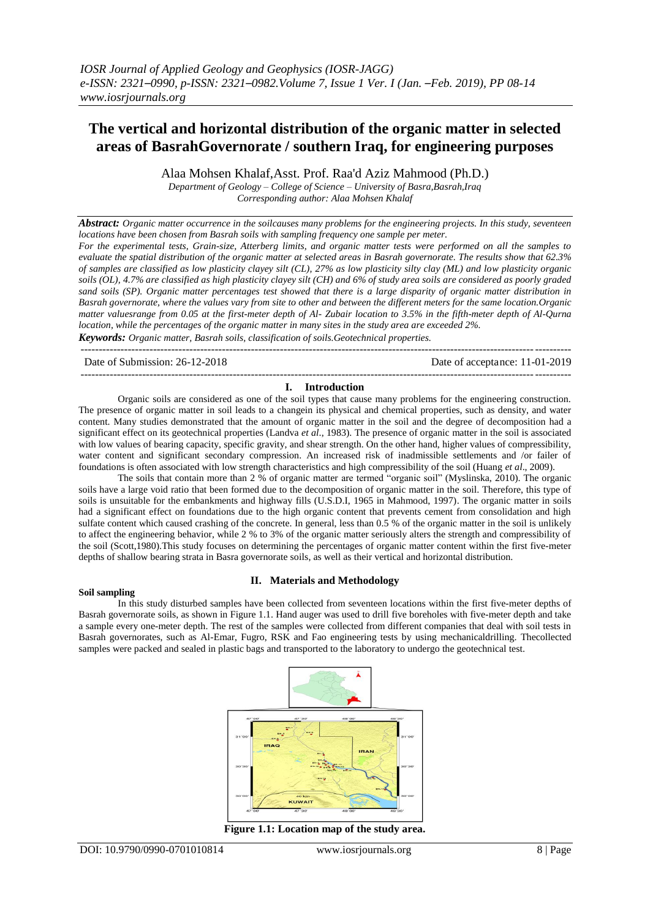# **The vertical and horizontal distribution of the organic matter in selected areas of BasrahGovernorate / southern Iraq, for engineering purposes**

Alaa Mohsen Khalaf,Asst. Prof. Raa'd Aziz Mahmood (Ph.D.)

*Department of Geology – College of Science – University of Basra,Basrah,Iraq*

*Corresponding author: Alaa Mohsen Khalaf*

*Abstract: Organic matter occurrence in the soilcauses many problems for the engineering projects. In this study, seventeen locations have been chosen from Basrah soils with sampling frequency one sample per meter.* 

*For the experimental tests, Grain-size, Atterberg limits, and organic matter tests were performed on all the samples to evaluate the spatial distribution of the organic matter at selected areas in Basrah governorate. The results show that 62.3% of samples are classified as low plasticity clayey silt (CL), 27% as low plasticity silty clay (ML) and low plasticity organic soils (OL), 4.7% are classified as high plasticity clayey silt (CH) and 6% of study area soils are considered as poorly graded sand soils (SP). Organic matter percentages test showed that there is a large disparity of organic matter distribution in Basrah governorate, where the values vary from site to other and between the different meters for the same location.Organic matter valuesrange from 0.05 at the first-meter depth of Al- Zubair location to 3.5% in the fifth-meter depth of Al-Qurna location, while the percentages of the organic matter in many sites in the study area are exceeded 2%. Keywords: Organic matter, Basrah soils, classification of soils.Geotechnical properties.*

---------------------------------------------------------------------------------------------------------------------------------------

Date of Submission: 26-12-2018 Date of acceptance: 11-01-2019 ---------------------------------------------------------------------------------------------------------------------------------------

## **I. Introduction**

Organic soils are considered as one of the soil types that cause many problems for the engineering construction. The presence of organic matter in soil leads to a changein its physical and chemical properties, such as density, and water content. Many studies demonstrated that the amount of organic matter in the soil and the degree of decomposition had a significant effect on its geotechnical properties (Landva *et al*., 1983). The presence of organic matter in the soil is associated with low values of bearing capacity, specific gravity, and shear strength. On the other hand, higher values of compressibility, water content and significant secondary compression. An increased risk of inadmissible settlements and /or failer of foundations is often associated with low strength characteristics and high compressibility of the soil (Huang *et al*., 2009).

The soils that contain more than 2 % of organic matter are termed "organic soil" (Myslinska, 2010). The organic soils have a large void ratio that been formed due to the decomposition of organic matter in the soil. Therefore, this type of soils is unsuitable for the embankments and highway fills (U.S.D.I, 1965 in Mahmood, 1997). The organic matter in soils had a significant effect on foundations due to the high organic content that prevents cement from consolidation and high sulfate content which caused crashing of the concrete. In general, less than 0.5 % of the organic matter in the soil is unlikely to affect the engineering behavior, while 2 % to 3% of the organic matter seriously alters the strength and compressibility of the soil (Scott,1980).This study focuses on determining the percentages of organic matter content within the first five-meter depths of shallow bearing strata in Basra governorate soils, as well as their vertical and horizontal distribution.

#### **Soil sampling**

## **II. Materials and Methodology**

In this study disturbed samples have been collected from seventeen locations within the first five-meter depths of Basrah governorate soils, as shown in Figure 1.1. Hand auger was used to drill five boreholes with five-meter depth and take a sample every one-meter depth. The rest of the samples were collected from different companies that deal with soil tests in Basrah governorates, such as Al-Emar, Fugro, RSK and Fao engineering tests by using mechanicaldrilling. Thecollected samples were packed and sealed in plastic bags and transported to the laboratory to undergo the geotechnical test.



**Figure 1.1: Location map of the study area.**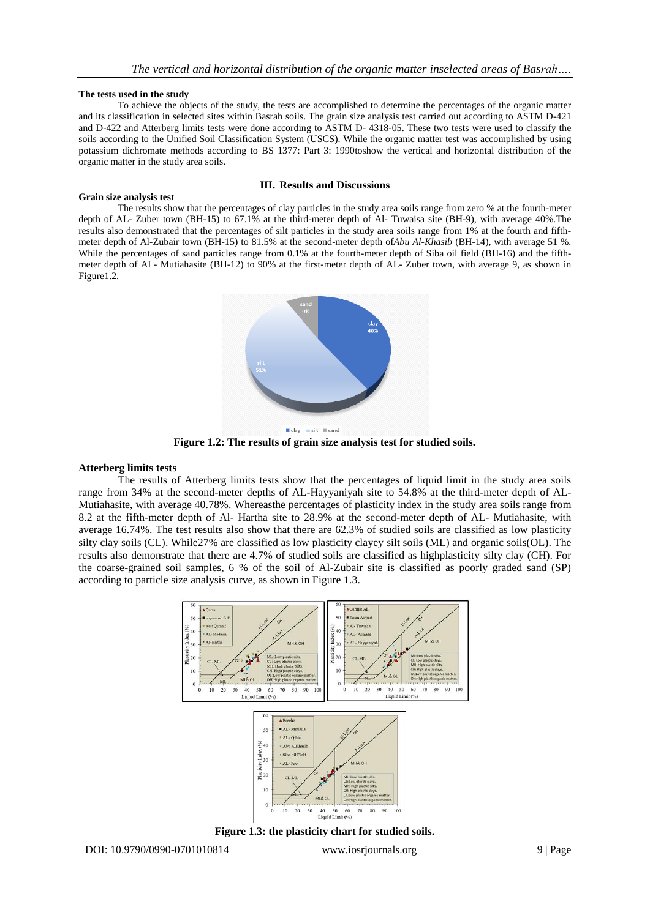#### **The tests used in the study**

To achieve the objects of the study, the tests are accomplished to determine the percentages of the organic matter and its classification in selected sites within Basrah soils. The grain size analysis test carried out according to ASTM D-421 and D-422 and Atterberg limits tests were done according to ASTM D- 4318-05. These two tests were used to classify the soils according to the Unified Soil Classification System (USCS). While the organic matter test was accomplished by using potassium dichromate methods according to BS 1377: Part 3: 1990toshow the vertical and horizontal distribution of the organic matter in the study area soils.

#### **III. Results and Discussions**

**Grain size analysis test** The results show that the percentages of clay particles in the study area soils range from zero % at the fourth-meter depth of AL- Zuber town (BH-15) to 67.1% at the third-meter depth of Al- Tuwaisa site (BH-9), with average 40%.The results also demonstrated that the percentages of silt particles in the study area soils range from 1% at the fourth and fifthmeter depth of Al-Zubair town (BH-15) to 81.5% at the second-meter depth of*Abu Al-Khasib* (BH-14), with average 51 %. While the percentages of sand particles range from 0.1% at the fourth-meter depth of Siba oil field (BH-16) and the fifthmeter depth of AL- Mutiahasite (BH-12) to 90% at the first-meter depth of AL- Zuber town, with average 9, as shown in Figure1.2.



**Figure 1.2: The results of grain size analysis test for studied soils.**

#### **Atterberg limits tests**

The results of Atterberg limits tests show that the percentages of liquid limit in the study area soils range from 34% at the second-meter depths of AL-Hayyaniyah site to 54.8% at the third-meter depth of AL-Mutiahasite, with average 40.78%. Whereasthe percentages of plasticity index in the study area soils range from 8.2 at the fifth-meter depth of Al- Hartha site to 28.9% at the second-meter depth of AL- Mutiahasite, with average 16.74%. The test results also show that there are 62.3% of studied soils are classified as low plasticity silty clay soils (CL). While27% are classified as low plasticity clayey silt soils (ML) and organic soils(OL). The results also demonstrate that there are 4.7% of studied soils are classified as highplasticity silty clay (CH). For the coarse-grained soil samples, 6 % of the soil of Al-Zubair site is classified as poorly graded sand (SP) according to particle size analysis curve, as shown in Figure 1.3.



**Figure 1.3: the plasticity chart for studied soils.**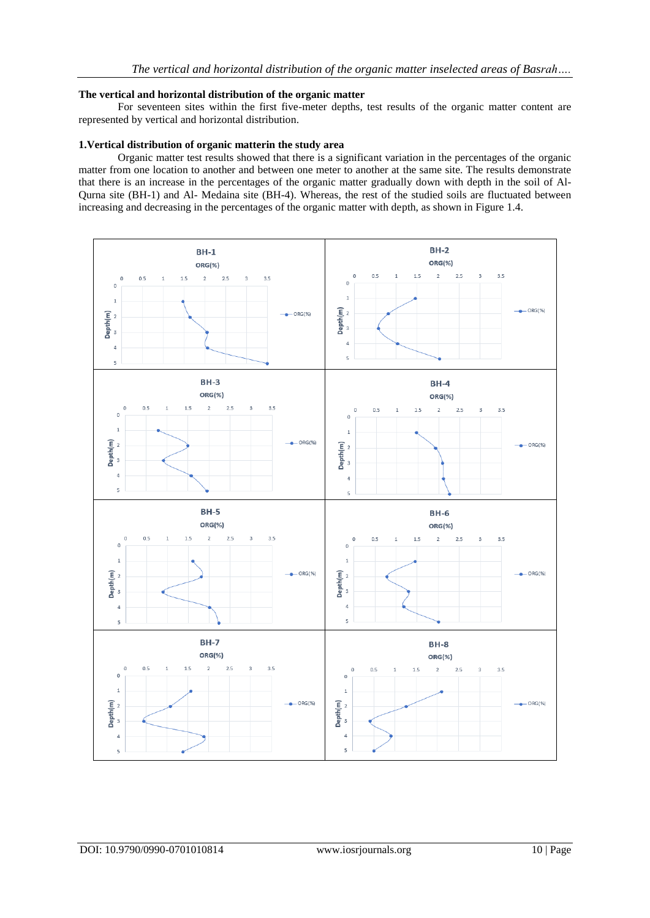## **The vertical and horizontal distribution of the organic matter**

For seventeen sites within the first five-meter depths, test results of the organic matter content are represented by vertical and horizontal distribution.

## **1.Vertical distribution of organic matterin the study area**

Organic matter test results showed that there is a significant variation in the percentages of the organic matter from one location to another and between one meter to another at the same site. The results demonstrate that there is an increase in the percentages of the organic matter gradually down with depth in the soil of Al-Qurna site (BH-1) and Al- Medaina site (BH-4). Whereas, the rest of the studied soils are fluctuated between increasing and decreasing in the percentages of the organic matter with depth, as shown in Figure 1.4.

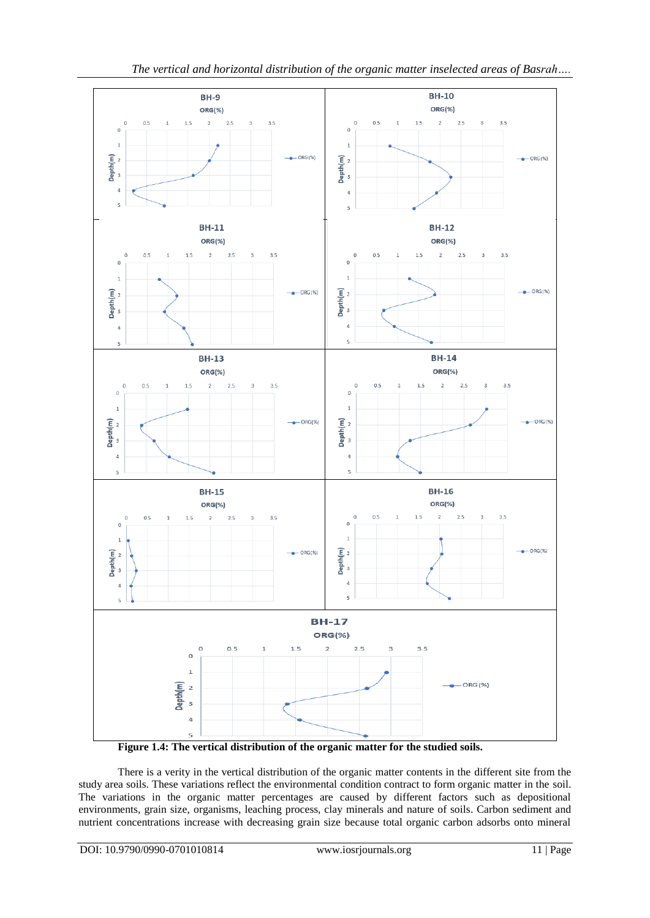

**Figure 1.4: The vertical distribution of the organic matter for the studied soils.**

There is a verity in the vertical distribution of the organic matter contents in the different site from the study area soils. These variations reflect the environmental condition contract to form organic matter in the soil. The variations in the organic matter percentages are caused by different factors such as depositional environments, grain size, organisms, leaching process, clay minerals and nature of soils. Carbon sediment and nutrient concentrations increase with decreasing grain size because total organic carbon adsorbs onto mineral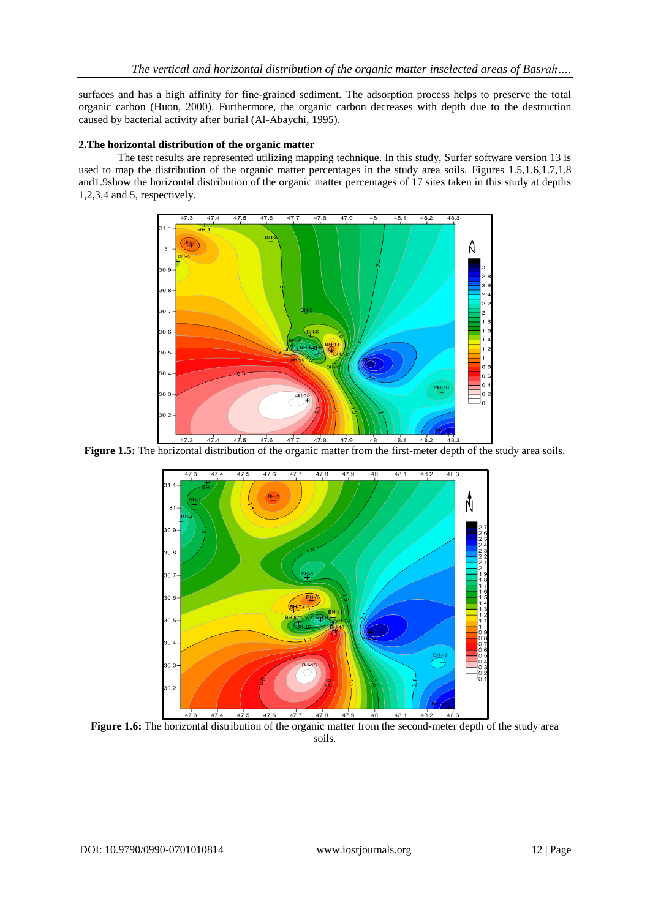surfaces and has a high affinity for fine-grained sediment. The adsorption process helps to preserve the total organic carbon (Huon, 2000). Furthermore, the organic carbon decreases with depth due to the destruction caused by bacterial activity after burial (Al-Abaychi, 1995).

# **2.The horizontal distribution of the organic matter**

The test results are represented utilizing mapping technique. In this study, Surfer software version 13 is used to map the distribution of the organic matter percentages in the study area soils. Figures 1.5,1.6,1.7,1.8 and1.9show the horizontal distribution of the organic matter percentages of 17 sites taken in this study at depths 1,2,3,4 and 5, respectively.



Figure 1.5: The horizontal distribution of the organic matter from the first-meter depth of the study area soils.



**Figure 1.6:** The horizontal distribution of the organic matter from the second-meter depth of the study area soils.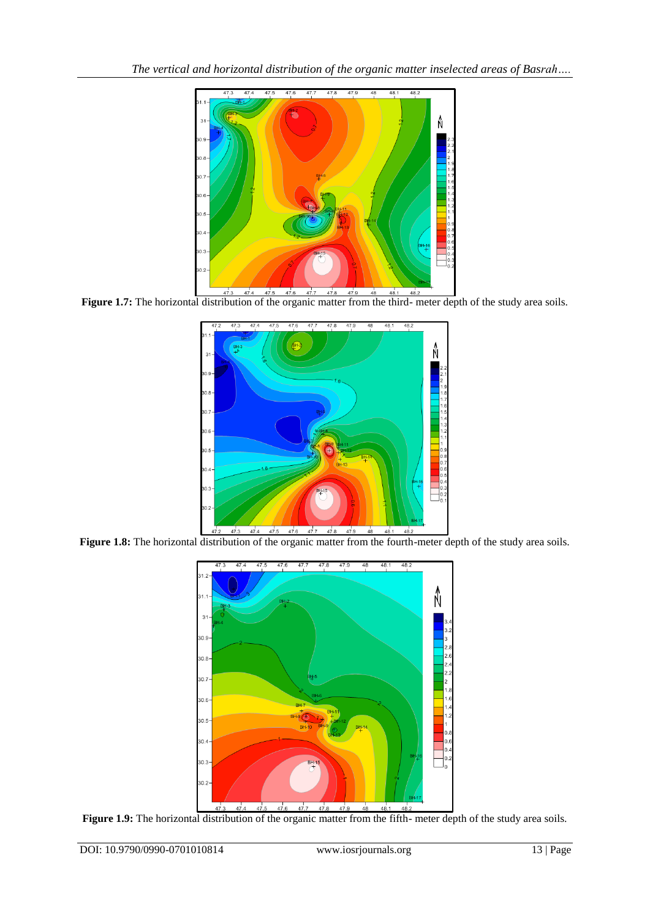

Figure 1.7: The horizontal distribution of the organic matter from the third- meter depth of the study area soils.



Figure 1.8: The horizontal distribution of the organic matter from the fourth-meter depth of the study area soils.



Figure 1.9: The horizontal distribution of the organic matter from the fifth- meter depth of the study area soils.